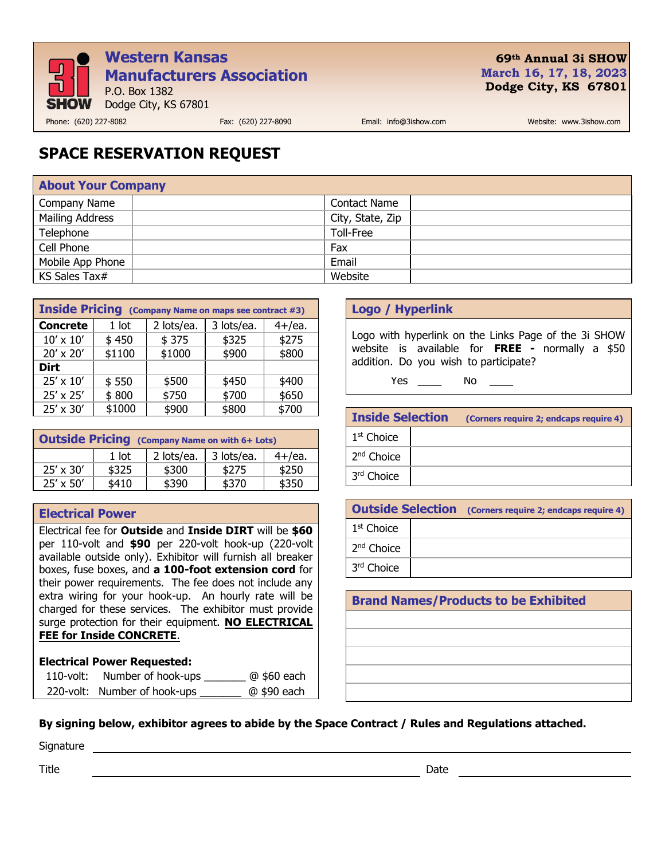

## **69th Annual 3i SHOW March 16, 17, 18, 2023 Dodge City, KS 67801**

Phone: (620) 227-8082 Fax: (620) 227-8090 Email: info@3ishow.com Website: www.3ishow.com

# **SPACE RESERVATION REQUEST**

| <b>About Your Company</b> |                     |  |
|---------------------------|---------------------|--|
| Company Name              | <b>Contact Name</b> |  |
| Mailing Address           | City, State, Zip    |  |
| Telephone                 | Toll-Free           |  |
| Cell Phone                | Fax                 |  |
| Mobile App Phone          | Email               |  |
| KS Sales Tax#             | Website             |  |

| <b>Inside Pricing</b> (Company Name on maps see contract #3) |            |            |           |
|--------------------------------------------------------------|------------|------------|-----------|
| $1$ lot                                                      | 2 lots/ea. | 3 lots/ea. | $4+$ /ea. |
| \$450                                                        | \$375      | \$325      | \$275     |
| \$1100                                                       | \$1000     | \$900      | \$800     |
|                                                              |            |            |           |
| \$550                                                        | \$500      | \$450      | \$400     |
| \$800                                                        | \$750      | \$700      | \$650     |
| \$1000                                                       | \$900      | \$800      | \$700     |
|                                                              |            |            |           |

| <b>Outside Pricing</b> (Company Name on with 6+ Lots) |       |            |            |           |
|-------------------------------------------------------|-------|------------|------------|-----------|
|                                                       | 1 lot | 2 lots/ea. | 3 lots/ea. | $4+$ /ea. |
| $25' \times 30'$                                      | \$325 | \$300      | \$275      | \$250     |
| $25' \times 50'$                                      | \$410 | \$390      | \$370      | \$350     |

### **Electrical Power**

Electrical fee for **Outside** and **Inside DIRT** will be **\$60** per 110-volt and **\$90** per 220-volt hook-up (220-volt available outside only). Exhibitor will furnish all breaker boxes, fuse boxes, and **a 100-foot extension cord** for their power requirements. The fee does not include any extra wiring for your hook-up. An hourly rate will be charged for these services. The exhibitor must provide surge protection for their equipment. **NO ELECTRICAL FEE for Inside CONCRETE**.

### **Electrical Power Requested:**

| $110$ -volt: | Number of hook-ups           | @ \$60 each |
|--------------|------------------------------|-------------|
|              | 220-volt: Number of hook-ups | @ \$90 each |

## **Logo / Hyperlink**

Logo with hyperlink on the Links Page of the 3i SHOW website is available for **FREE -** normally a \$50 addition. Do you wish to participate?

Yes \_\_\_\_\_\_ No

| <b>Inside Selection</b> |  | (Corners require 2; endcaps require 4) |
|-------------------------|--|----------------------------------------|
| 1 <sup>st</sup> Choice  |  |                                        |
| 2 <sup>nd</sup> Choice  |  |                                        |
| 3 <sup>rd</sup> Choice  |  |                                        |

|                        |  | <b>Outside Selection</b> (Corners require 2; endcaps require 4) |
|------------------------|--|-----------------------------------------------------------------|
| 1 <sup>st</sup> Choice |  |                                                                 |
| 2 <sup>nd</sup> Choice |  |                                                                 |
| 3rd Choice             |  |                                                                 |

| <b>Brand Names/Products to be Exhibited</b> |
|---------------------------------------------|
|                                             |
|                                             |
|                                             |
|                                             |
|                                             |

### **By signing below, exhibitor agrees to abide by the Space Contract / Rules and Regulations attached.**

Signature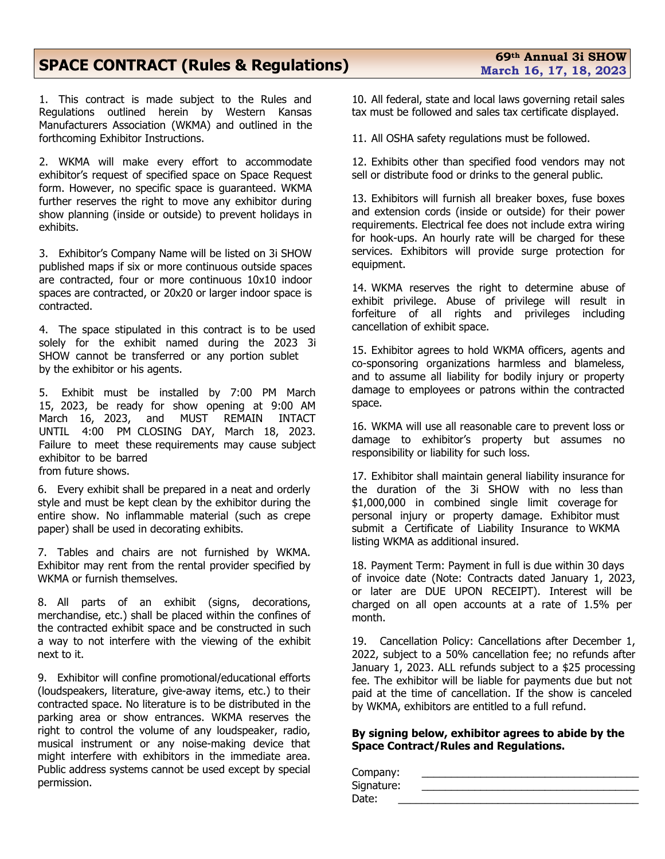## **SPACE CONTRACT (Rules & Regulations)**

1. This contract is made subject to the Rules and Regulations outlined herein by Western Kansas Manufacturers Association (WKMA) and outlined in the forthcoming Exhibitor Instructions.

2. WKMA will make every effort to accommodate exhibitor's request of specified space on Space Request form. However, no specific space is guaranteed. WKMA further reserves the right to move any exhibitor during show planning (inside or outside) to prevent holidays in exhibits.

3. Exhibitor's Company Name will be listed on 3i SHOW published maps if six or more continuous outside spaces are contracted, four or more continuous 10x10 indoor spaces are contracted, or 20x20 or larger indoor space is contracted.

4. The space stipulated in this contract is to be used solely for the exhibit named during the 2023 3i SHOW cannot be transferred or any portion sublet by the exhibitor or his agents.

5. Exhibit must be installed by 7:00 PM March 15, 2023, be ready for show opening at 9:00 AM March  $16, 2023,$  and UNTIL 4:00 PM CLOSING DAY, March 18, 2023. Failure to meet these requirements may cause subject exhibitor to be barred from future shows.

6. Every exhibit shall be prepared in a neat and orderly style and must be kept clean by the exhibitor during the entire show. No inflammable material (such as crepe paper) shall be used in decorating exhibits.

7. Tables and chairs are not furnished by WKMA. Exhibitor may rent from the rental provider specified by WKMA or furnish themselves.

8. All parts of an exhibit (signs, decorations, merchandise, etc.) shall be placed within the confines of the contracted exhibit space and be constructed in such a way to not interfere with the viewing of the exhibit next to it.

9. Exhibitor will confine promotional/educational efforts (loudspeakers, literature, give-away items, etc.) to their contracted space. No literature is to be distributed in the parking area or show entrances. WKMA reserves the right to control the volume of any loudspeaker, radio, musical instrument or any noise-making device that might interfere with exhibitors in the immediate area. Public address systems cannot be used except by special permission.

10. All federal, state and local laws governing retail sales tax must be followed and sales tax certificate displayed.

11. All OSHA safety regulations must be followed.

12. Exhibits other than specified food vendors may not sell or distribute food or drinks to the general public.

13. Exhibitors will furnish all breaker boxes, fuse boxes and extension cords (inside or outside) for their power requirements. Electrical fee does not include extra wiring for hook-ups. An hourly rate will be charged for these services. Exhibitors will provide surge protection for equipment.

14. WKMA reserves the right to determine abuse of exhibit privilege. Abuse of privilege will result in forfeiture of all rights and privileges including cancellation of exhibit space.

15. Exhibitor agrees to hold WKMA officers, agents and co-sponsoring organizations harmless and blameless, and to assume all liability for bodily injury or property damage to employees or patrons within the contracted space.

16. WKMA will use all reasonable care to prevent loss or damage to exhibitor's property but assumes no responsibility or liability for such loss.

17. Exhibitor shall maintain general liability insurance for the duration of the 3i SHOW with no less than \$1,000,000 in combined single limit coverage for personal injury or property damage. Exhibitor must submit a Certificate of Liability Insurance to WKMA listing WKMA as additional insured.

18. Payment Term: Payment in full is due within 30 days of invoice date (Note: Contracts dated January 1, 2023, or later are DUE UPON RECEIPT). Interest will be charged on all open accounts at a rate of 1.5% per month.

19. Cancellation Policy: Cancellations after December 1, 2022, subject to a 50% cancellation fee; no refunds after January 1, 2023. ALL refunds subject to a \$25 processing fee. The exhibitor will be liable for payments due but not paid at the time of cancellation. If the show is canceled by WKMA, exhibitors are entitled to a full refund.

### **By signing below, exhibitor agrees to abide by the Space Contract/Rules and Regulations.**

| Company:<br>Signature:<br>Date: |  |
|---------------------------------|--|
|                                 |  |